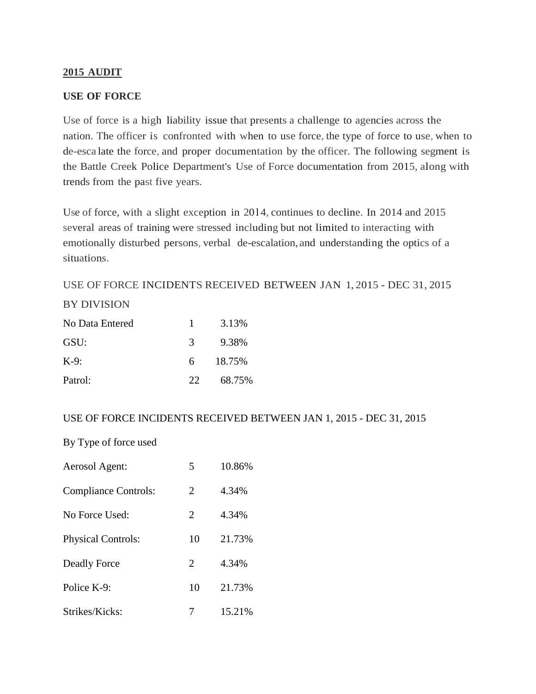### **2015 AUDIT**

#### **USE OF FORCE**

Use of force is a high liability issue that presents a challenge to agencies across the nation. The officer is confronted with when to use force, the type of force to use, when to de-esca late the force, and proper documentation by the officer. The following segment is the Battle Creek Police Department's Use of Force documentation from 2015, along with trends from the past five years.

Use of force, with a slight exception in 2014, continues to decline. In 2014 and 2015 several areas of training were stressed including but not limited to interacting with emotionally disturbed persons, verbal de-escalation, and understanding the optics of a situations.

# USE OF FORCE INCIDENTS RECEIVED BETWEEN JAN 1, 2015 - DEC 31, 2015 BY DIVISION

| No Data Entered | $\mathbf{1}$  | 3.13%  |
|-----------------|---------------|--------|
| GSU:            | $\mathcal{R}$ | 9.38%  |
| $K-9$ :         | 6.            | 18.75% |
| Patrol:         | 22.           | 68.75% |

### USE OF FORCE INCIDENTS RECEIVED BETWEEN JAN 1, 2015 - DEC 31, 2015

By Type of force used

| Aerosol Agent:              | 5              | 10.86% |
|-----------------------------|----------------|--------|
| <b>Compliance Controls:</b> | $\overline{2}$ | 4.34%  |
| No Force Used:              | 2              | 4.34%  |
| <b>Physical Controls:</b>   | 10             | 21.73% |
| Deadly Force                | $\overline{2}$ | 4.34%  |
| Police K-9:                 | 10             | 21.73% |
| Strikes/Kicks:              |                | 15.21% |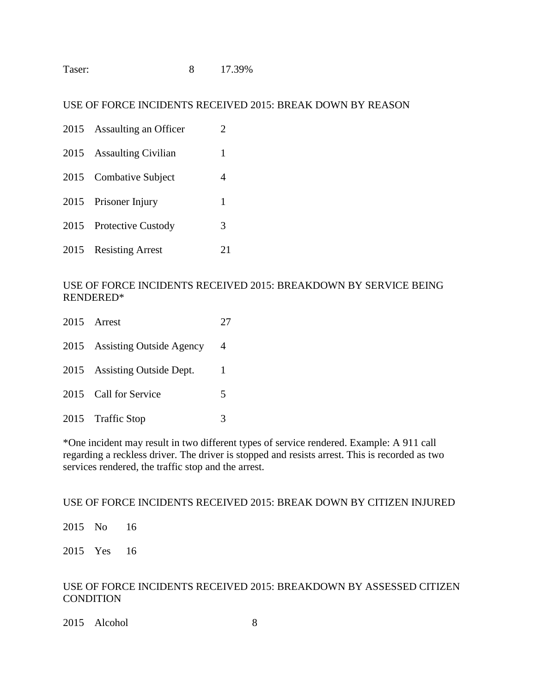| Taser: |  | 17.39% |
|--------|--|--------|
|--------|--|--------|

#### USE OF FORCE INCIDENTS RECEIVED 2015: BREAK DOWN BY REASON

|      | 2015 Assaulting an Officer | 2  |
|------|----------------------------|----|
|      | 2015 Assaulting Civilian   | 1  |
|      | 2015 Combative Subject     | 4  |
|      | 2015 Prisoner Injury       | 1  |
| 2015 | <b>Protective Custody</b>  | 3  |
|      | 2015 Resisting Arrest      | 21 |

#### USE OF FORCE INCIDENTS RECEIVED 2015: BREAKDOWN BY SERVICE BEING RENDERED\*

| 2015 Arrest                   | 27 |
|-------------------------------|----|
| 2015 Assisting Outside Agency | 4  |
| 2015 Assisting Outside Dept.  | 1  |
| 2015 Call for Service         | 5  |
| 2015 Traffic Stop             | 3  |

\*One incident may result in two different types of service rendered. Example: A 911 call regarding a reckless driver. The driver is stopped and resists arrest. This is recorded as two services rendered, the traffic stop and the arrest.

### USE OF FORCE INCIDENTS RECEIVED 2015: BREAK DOWN BY CITIZEN INJURED

2015 No 16

2015 Yes 16

### USE OF FORCE INCIDENTS RECEIVED 2015: BREAKDOWN BY ASSESSED CITIZEN **CONDITION**

2015 Alcohol 8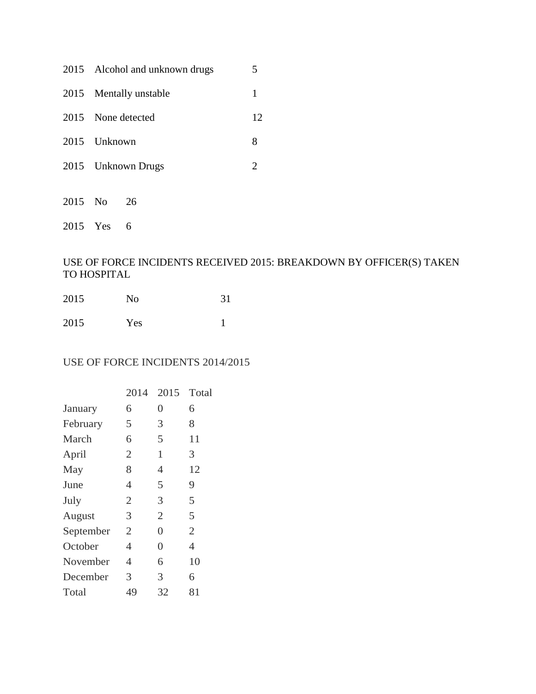| 2015 Alcohol and unknown drugs |    |
|--------------------------------|----|
| 2015 Mentally unstable         |    |
| 2015 None detected             | 12 |
| 2015 Unknown                   |    |
| 2015 Unknown Drugs             |    |

2015 No 26

2015 Yes 6

## USE OF FORCE INCIDENTS RECEIVED 2015: BREAKDOWN BY OFFICER(S) TAKEN TO HOSPITAL

| 2015 | N <sub>0</sub> | 31 |
|------|----------------|----|
| 2015 | Yes            |    |

### USE OF FORCE INCIDENTS 2014/2015

|           | 2014           | 2015 Total     |                |
|-----------|----------------|----------------|----------------|
| January   | 6              | 0              | 6              |
| February  | 5              | 3              | 8              |
| March     | 6              | 5              | 11             |
| April     | 2              | 1              | 3              |
| May       | 8              | 4              | 12             |
| June      | 4              | 5              | 9              |
| July      | $\overline{2}$ | 3              | 5              |
| August    | 3              | $\overline{2}$ | 5              |
| September | $\overline{2}$ | 0              | $\overline{2}$ |
| October   | 4              | 0              | 4              |
| November  | 4              | 6              | 10             |
| December  | 3              | 3              | 6              |
| Total     | 49             | 32             | 81             |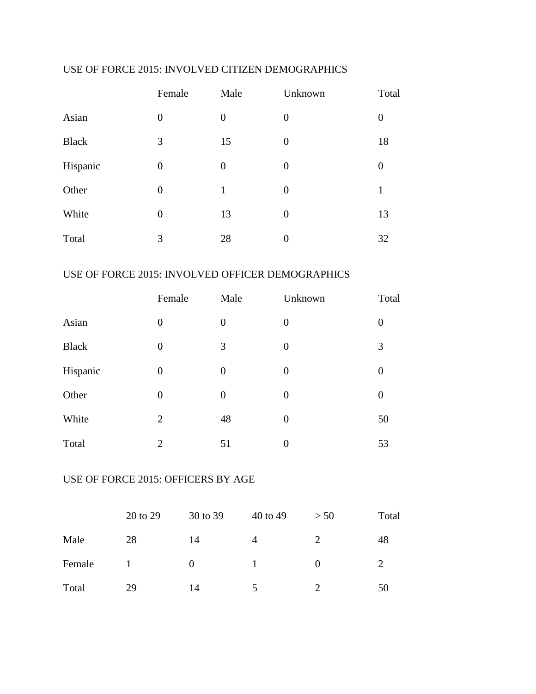## USE OF FORCE 2015: INVOLVED CITIZEN DEMOGRAPHICS

|              | Female         | Male           | Unknown        | Total            |
|--------------|----------------|----------------|----------------|------------------|
| Asian        | $\overline{0}$ | $\overline{0}$ | $\overline{0}$ | $\boldsymbol{0}$ |
| <b>Black</b> | 3              | 15             | $\overline{0}$ | 18               |
| Hispanic     | $\overline{0}$ | $\overline{0}$ | $\overline{0}$ | $\boldsymbol{0}$ |
| Other        | $\overline{0}$ | 1              | $\overline{0}$ | 1                |
| White        | $\overline{0}$ | 13             | $\overline{0}$ | 13               |
| Total        | 3              | 28             | $\overline{0}$ | 32               |

## USE OF FORCE 2015: INVOLVED OFFICER DEMOGRAPHICS

|              | Female         | Male           | Unknown        | Total            |
|--------------|----------------|----------------|----------------|------------------|
| Asian        | $\overline{0}$ | $\overline{0}$ | $\overline{0}$ | $\boldsymbol{0}$ |
| <b>Black</b> | $\overline{0}$ | 3              | $\overline{0}$ | 3                |
| Hispanic     | $\overline{0}$ | $\overline{0}$ | $\overline{0}$ | $\overline{0}$   |
| Other        | $\overline{0}$ | $\overline{0}$ | $\overline{0}$ | $\boldsymbol{0}$ |
| White        | $\overline{2}$ | 48             | $\overline{0}$ | 50               |
| Total        | $\overline{2}$ | 51             | $\overline{0}$ | 53               |

# USE OF FORCE 2015: OFFICERS BY AGE

|        | 20 to 29 | 30 to 39 | 40 to 49 | > 50     | Total |
|--------|----------|----------|----------|----------|-------|
| Male   | 28       | 14       | 4        |          | 48    |
| Female |          | $\theta$ |          | $\theta$ |       |
| Total  | 29       | 14       |          |          | 50    |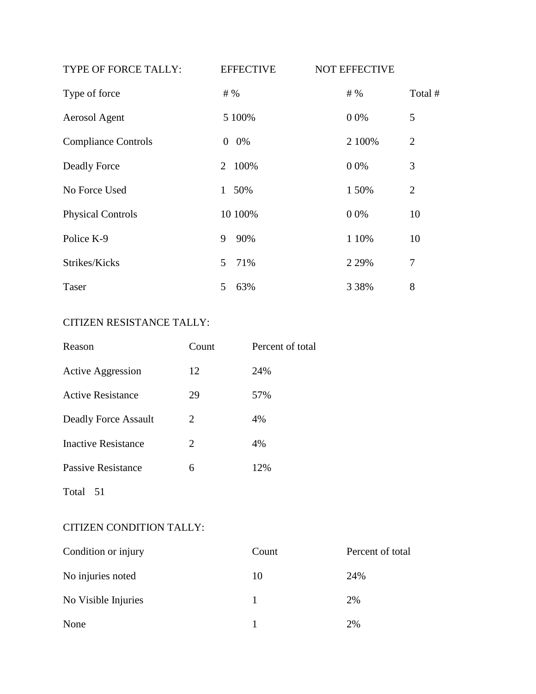| TYPE OF FORCE TALLY:       | <b>EFFECTIVE</b>     | <b>NOT EFFECTIVE</b> |                |
|----------------------------|----------------------|----------------------|----------------|
| Type of force              | # %                  | # %                  | Total #        |
| Aerosol Agent              | 5 100%               | 0 0%                 | 5              |
| <b>Compliance Controls</b> | 0%<br>$\overline{0}$ | 2 100%               | $\overline{2}$ |
| Deadly Force               | 2 100%               | 0 0%                 | 3              |
| No Force Used              | 1 50%                | 1 50%                | $\overline{2}$ |
| <b>Physical Controls</b>   | 10 100%              | 0 0%                 | 10             |
| Police K-9                 | 90%<br>9             | 1 10%                | 10             |
| Strikes/Kicks              | 71%<br>5             | 2 2 9 %              | 7              |
| Taser                      | 63%<br>5             | 3 3 8 %              | 8              |

# CITIZEN RESISTANCE TALLY:

| Reason                   | Count | Percent of total |
|--------------------------|-------|------------------|
| <b>Active Aggression</b> | 12    | 24%              |
| <b>Active Resistance</b> | 29    | 57%              |
| Deadly Force Assault     | 2     | 4%               |
| Inactive Resistance      | 2     | 4%               |
| Passive Resistance       | 6     | 12%              |
| Total<br>-51             |       |                  |

# CITIZEN CONDITION TALLY:

| Condition or injury | Count | Percent of total |
|---------------------|-------|------------------|
| No injuries noted   | 10    | 24%              |
| No Visible Injuries |       | 2%               |
| None                |       | 2%               |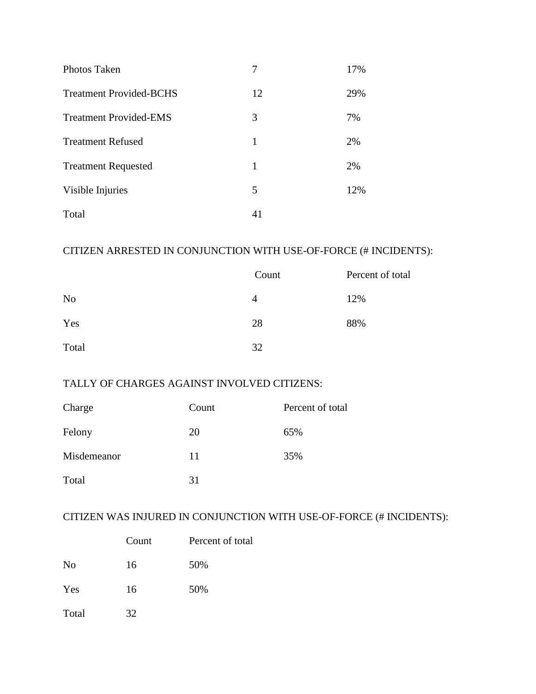| Photos Taken                   |    | 17% |
|--------------------------------|----|-----|
| <b>Treatment Provided-BCHS</b> | 12 | 29% |
| <b>Treatment Provided-EMS</b>  | 3  | 7%  |
| <b>Treatment Refused</b>       | 1  | 2%  |
| <b>Treatment Requested</b>     | 1  | 2%  |
| Visible Injuries               | 5  | 12% |
| Total                          | 41 |     |

# CITIZEN ARRESTED IN CONJUNCTION WITH USE-OF-FORCE (# INCIDENTS):

|                | Count | Percent of total |
|----------------|-------|------------------|
| N <sub>o</sub> | 4     | 12%              |
| Yes            | 28    | 88%              |
| Total          | 32    |                  |

# TALLY OF CHARGES AGAINST INVOLVED CITIZENS:

| Charge      | Count | Percent of total |
|-------------|-------|------------------|
| Felony      | 20    | 65%              |
| Misdemeanor | 11    | 35%              |
| Total       | 31    |                  |

# CITIZEN WAS INJURED IN CONJUNCTION WITH USE-OF-FORCE (# INCIDENTS):

|                | Count | Percent of total |
|----------------|-------|------------------|
| N <sub>o</sub> | 16    | 50%              |
| Yes            | 16    | 50%              |
| Total          | 32    |                  |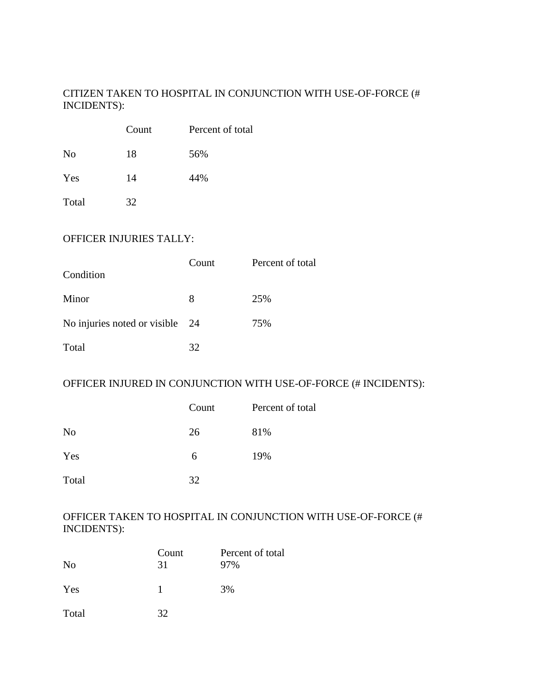## CITIZEN TAKEN TO HOSPITAL IN CONJUNCTION WITH USE-OF-FORCE (# INCIDENTS):

|                | Count | Percent of total |
|----------------|-------|------------------|
| N <sub>0</sub> | 18    | 56%              |
| Yes            | 14    | 44%              |
| Total          | 32    |                  |

### OFFICER INJURIES TALLY:

| Condition                       | Count | Percent of total |
|---------------------------------|-------|------------------|
| Minor                           | 8     | 25%              |
| No injuries noted or visible 24 |       | 75%              |
| Total                           | 32    |                  |

### OFFICER INJURED IN CONJUNCTION WITH USE-OF-FORCE (# INCIDENTS):

|                | Count | Percent of total |
|----------------|-------|------------------|
| N <sub>o</sub> | 26    | 81%              |
| Yes            | 6     | 19%              |
| Total          | 32    |                  |

### OFFICER TAKEN TO HOSPITAL IN CONJUNCTION WITH USE-OF-FORCE (# INCIDENTS):

| N <sub>0</sub> | Count<br>31 | Percent of total<br>97% |
|----------------|-------------|-------------------------|
| Yes            |             | 3%                      |
| Total          | 32          |                         |